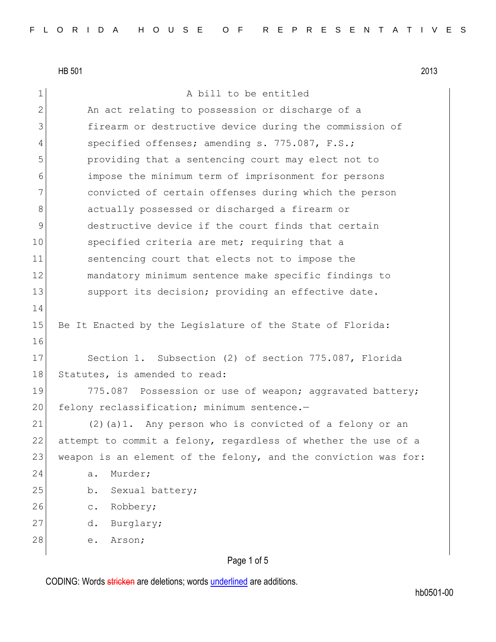1 a bill to be entitled 2 An act relating to possession or discharge of a 3 firearm or destructive device during the commission of 4 specified offenses; amending s. 775.087, F.S.; 5 providing that a sentencing court may elect not to 6 impose the minimum term of imprisonment for persons 7 convicted of certain offenses during which the person 8 actually possessed or discharged a firearm or 9 destructive device if the court finds that certain 10 specified criteria are met; requiring that a 11 sentencing court that elects not to impose the 12 mandatory minimum sentence make specific findings to 13 Support its decision; providing an effective date. 14 15 Be It Enacted by the Legislature of the State of Florida: 16 17 Section 1. Subsection (2) of section 775.087, Florida 18 Statutes, is amended to read: 19 775.087 Possession or use of weapon; aggravated battery; 20 felony reclassification; minimum sentence.-21  $(2)(a)1$ . Any person who is convicted of a felony or an 22 attempt to commit a felony, regardless of whether the use of a 23 weapon is an element of the felony, and the conviction was for: 24 a. Murder; 25 b. Sexual battery; 26 c. Robbery; 27 d. Burglary; 28 e. Arson;

# Page 1 of 5

CODING: Words stricken are deletions; words underlined are additions.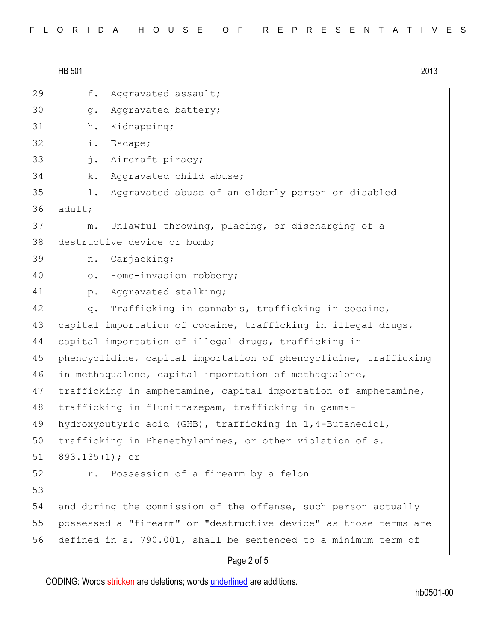HB 501 2013 29 f. Aggravated assault; 30 g. Aggravated battery; 31 h. Kidnapping; 32 i. Escape; 33 j. Aircraft piracy; 34 k. Aggravated child abuse; 35 1. Aggravated abuse of an elderly person or disabled 36 adult; 37 m. Unlawful throwing, placing, or discharging of a 38 destructive device or bomb: 39 n. Carjacking; 40 o. Home-invasion robbery; 41 p. Aggravated stalking; 42 q. Trafficking in cannabis, trafficking in cocaine, 43 capital importation of cocaine, trafficking in illegal drugs, 44 capital importation of illegal drugs, trafficking in 45 phencyclidine, capital importation of phencyclidine, trafficking 46 in methaqualone, capital importation of methaqualone, 47 trafficking in amphetamine, capital importation of amphetamine, 48 trafficking in flunitrazepam, trafficking in gamma-49 hydroxybutyric acid (GHB), trafficking in 1,4-Butanediol, 50 trafficking in Phenethylamines, or other violation of s. 51 893.135(1); or 52 r. Possession of a firearm by a felon 53 54 and during the commission of the offense, such person actually 55 possessed a "firearm" or "destructive device" as those terms are 56 defined in s. 790.001, shall be sentenced to a minimum term of

## Page 2 of 5

CODING: Words stricken are deletions; words underlined are additions.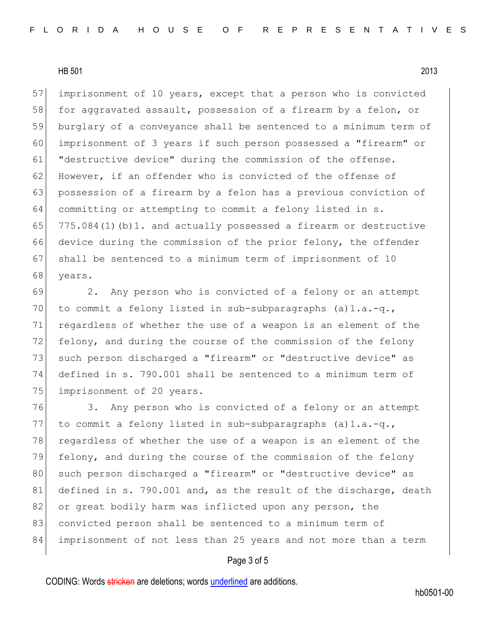57 imprisonment of 10 years, except that a person who is convicted 58 for aggravated assault, possession of a firearm by a felon, or 59 burglary of a conveyance shall be sentenced to a minimum term of 60 imprisonment of 3 years if such person possessed a "firearm" or 61 "destructive device" during the commission of the offense. 62 However, if an offender who is convicted of the offense of 63 possession of a firearm by a felon has a previous conviction of 64 committing or attempting to commit a felony listed in  $s$ . 65 775.084(1)(b)1. and actually possessed a firearm or destructive 66 device during the commission of the prior felony, the offender 67 shall be sentenced to a minimum term of imprisonment of 10 68 years.

69 2. Any person who is convicted of a felony or an attempt 70 to commit a felony listed in sub-subparagraphs  $(a) 1.a.-q.$ 71 regardless of whether the use of a weapon is an element of the 72 felony, and during the course of the commission of the felony 73 such person discharged a "firearm" or "destructive device" as 74 defined in s. 790.001 shall be sentenced to a minimum term of 75 imprisonment of 20 years.

76 3. Any person who is convicted of a felony or an attempt 77 to commit a felony listed in sub-subparagraphs  $(a) 1.a.-q.$ 78 regardless of whether the use of a weapon is an element of the 79 felony, and during the course of the commission of the felony 80 such person discharged a "firearm" or "destructive device" as 81 defined in s. 790.001 and, as the result of the discharge, death 82 or great bodily harm was inflicted upon any person, the 83 convicted person shall be sentenced to a minimum term of 84 imprisonment of not less than 25 years and not more than a term

## Page 3 of 5

CODING: Words stricken are deletions; words underlined are additions.

hb0501-00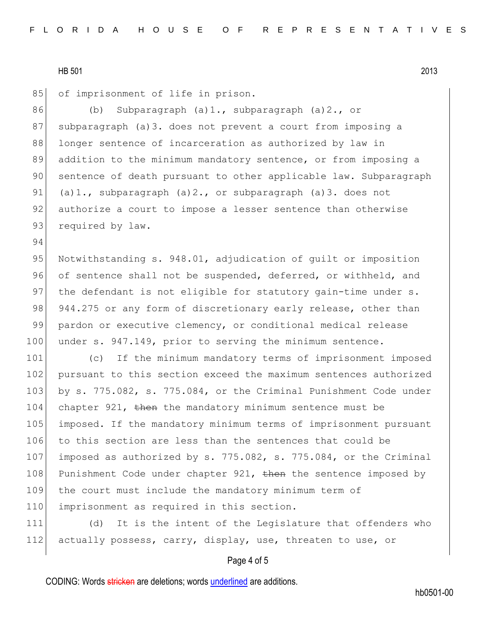94

85 of imprisonment of life in prison.

86 (b) Subparagraph (a)1., subparagraph (a)2., or 87 subparagraph (a)3. does not prevent a court from imposing a 88 longer sentence of incarceration as authorized by law in 89 addition to the minimum mandatory sentence, or from imposing a 90 sentence of death pursuant to other applicable law. Subparagraph 91 (a)1., subparagraph  $(a)2.$ , or subparagraph  $(a)3.$  does not 92 authorize a court to impose a lesser sentence than otherwise 93 required by law.

95 Notwithstanding s. 948.01, adjudication of quilt or imposition 96 of sentence shall not be suspended, deferred, or withheld, and 97 the defendant is not eligible for statutory gain-time under s. 98 944.275 or any form of discretionary early release, other than 99 pardon or executive clemency, or conditional medical release 100 under s. 947.149, prior to serving the minimum sentence.

101 (c) If the minimum mandatory terms of imprisonment imposed 102 pursuant to this section exceed the maximum sentences authorized 103 by s. 775.082, s. 775.084, or the Criminal Punishment Code under 104 chapter 921, then the mandatory minimum sentence must be 105 imposed. If the mandatory minimum terms of imprisonment pursuant 106 to this section are less than the sentences that could be 107 imposed as authorized by s. 775.082, s. 775.084, or the Criminal 108 Punishment Code under chapter 921, then the sentence imposed by 109 the court must include the mandatory minimum term of 110 imprisonment as required in this section.

111 (d) It is the intent of the Legislature that offenders who 112 actually possess, carry, display, use, threaten to use, or

## Page 4 of 5

CODING: Words stricken are deletions; words underlined are additions.